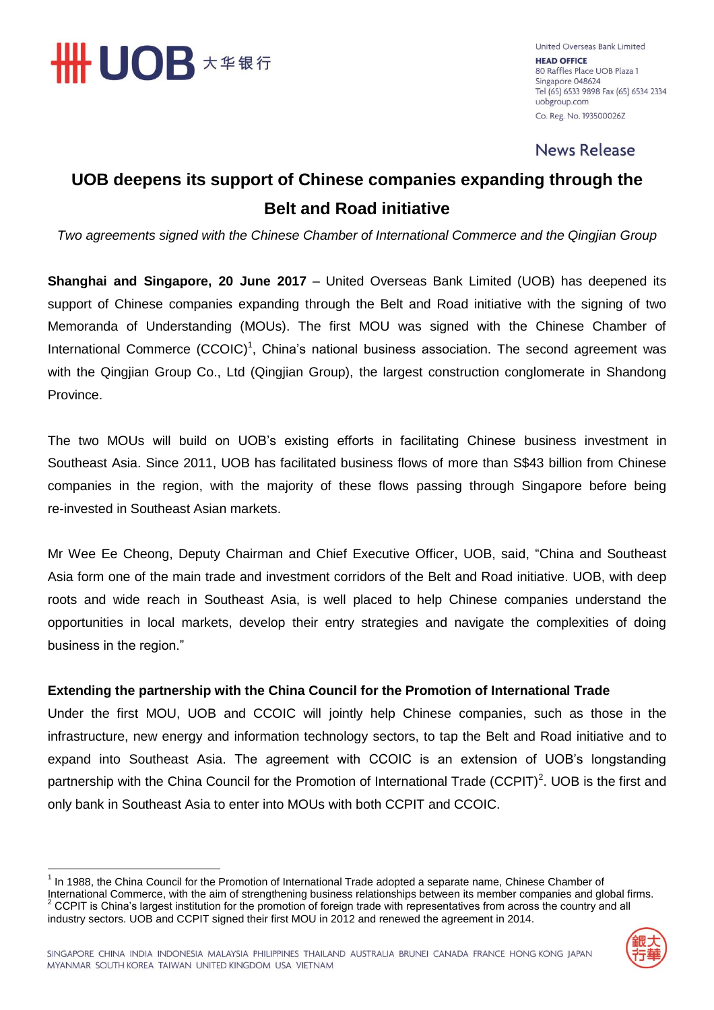

United Overseas Bank Limited **HEAD OFFICE** 80 Raffles Place UOB Plaza 1 Singapore 048624 Tel (65) 6533 9898 Fax (65) 6534 2334 uobgroup.com Co. Reg. No. 193500026Z

**News Release** 

# **UOB deepens its support of Chinese companies expanding through the Belt and Road initiative**

*Two agreements signed with the Chinese Chamber of International Commerce and the Qingjian Group*

**Shanghai and Singapore, 20 June 2017** – United Overseas Bank Limited (UOB) has deepened its support of Chinese companies expanding through the Belt and Road initiative with the signing of two Memoranda of Understanding (MOUs). The first MOU was signed with the Chinese Chamber of International Commerce (CCOIC)<sup>1</sup>, China's national business association. The second agreement was with the Qingjian Group Co., Ltd (Qingjian Group), the largest construction conglomerate in Shandong Province.

The two MOUs will build on UOB's existing efforts in facilitating Chinese business investment in Southeast Asia. Since 2011, UOB has facilitated business flows of more than S\$43 billion from Chinese companies in the region, with the majority of these flows passing through Singapore before being re-invested in Southeast Asian markets.

Mr Wee Ee Cheong, Deputy Chairman and Chief Executive Officer, UOB, said, "China and Southeast Asia form one of the main trade and investment corridors of the Belt and Road initiative. UOB, with deep roots and wide reach in Southeast Asia, is well placed to help Chinese companies understand the opportunities in local markets, develop their entry strategies and navigate the complexities of doing business in the region."

## **Extending the partnership with the China Council for the Promotion of International Trade**

Under the first MOU, UOB and CCOIC will jointly help Chinese companies, such as those in the infrastructure, new energy and information technology sectors, to tap the Belt and Road initiative and to expand into Southeast Asia. The agreement with CCOIC is an extension of UOB's longstanding partnership with the China Council for the Promotion of International Trade (CCPIT)<sup>2</sup>. UOB is the first and only bank in Southeast Asia to enter into MOUs with both CCPIT and CCOIC.

 1 In 1988, the China Council for the Promotion of International Trade adopted a separate name, Chinese Chamber of International Commerce, with the aim of strengthening business relationships between its member companies and global firms. <sup>2</sup> CCPIT is China's largest institution for the promotion of foreign trade with representatives from across the country and all industry sectors. UOB and CCPIT signed their first MOU in 2012 and renewed the agreement in 2014.

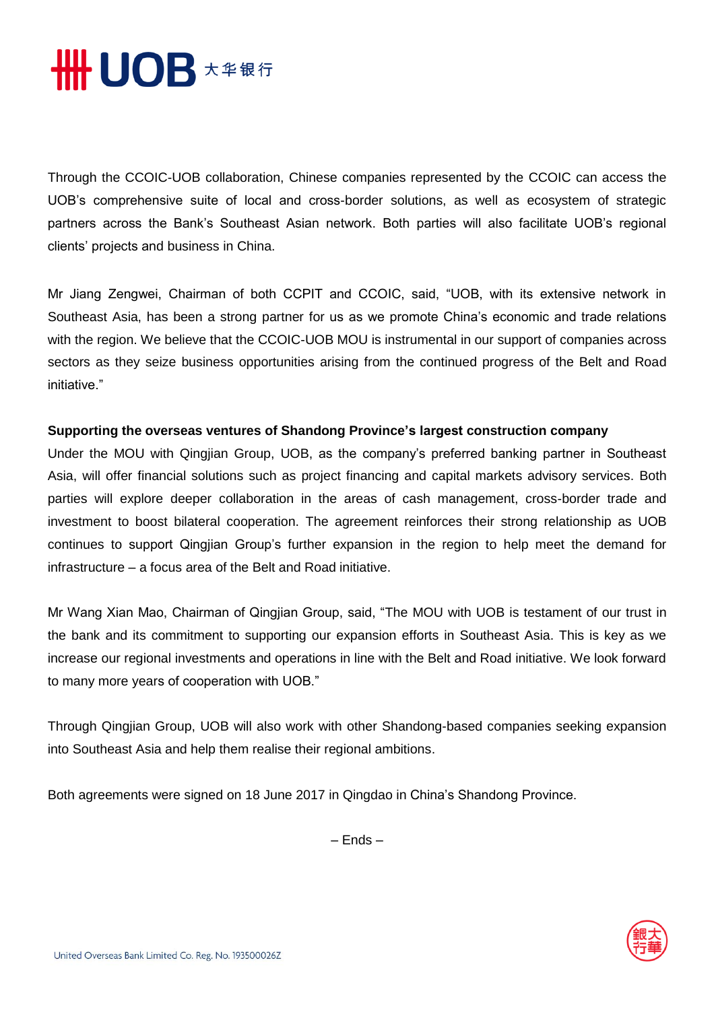

Through the CCOIC-UOB collaboration, Chinese companies represented by the CCOIC can access the UOB's comprehensive suite of local and cross-border solutions, as well as ecosystem of strategic partners across the Bank's Southeast Asian network. Both parties will also facilitate UOB's regional clients' projects and business in China.

Mr Jiang Zengwei, Chairman of both CCPIT and CCOIC, said, "UOB, with its extensive network in Southeast Asia, has been a strong partner for us as we promote China's economic and trade relations with the region. We believe that the CCOIC-UOB MOU is instrumental in our support of companies across sectors as they seize business opportunities arising from the continued progress of the Belt and Road initiative."

## **Supporting the overseas ventures of Shandong Province's largest construction company**

Under the MOU with Qingjian Group, UOB, as the company's preferred banking partner in Southeast Asia, will offer financial solutions such as project financing and capital markets advisory services. Both parties will explore deeper collaboration in the areas of cash management, cross-border trade and investment to boost bilateral cooperation. The agreement reinforces their strong relationship as UOB continues to support Qingjian Group's further expansion in the region to help meet the demand for infrastructure – a focus area of the Belt and Road initiative.

Mr Wang Xian Mao, Chairman of Qingjian Group, said, "The MOU with UOB is testament of our trust in the bank and its commitment to supporting our expansion efforts in Southeast Asia. This is key as we increase our regional investments and operations in line with the Belt and Road initiative. We look forward to many more years of cooperation with UOB."

Through Qingjian Group, UOB will also work with other Shandong-based companies seeking expansion into Southeast Asia and help them realise their regional ambitions.

Both agreements were signed on 18 June 2017 in Qingdao in China's Shandong Province.

– Ends –